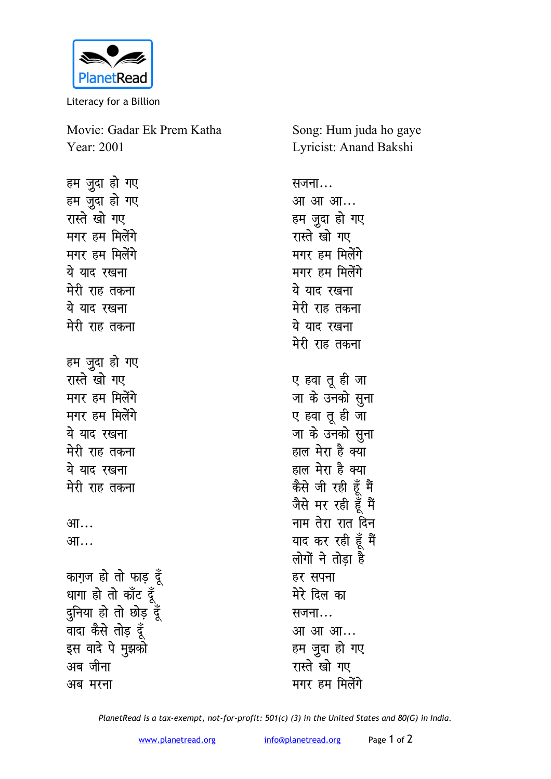

Literacy for a Billion

Movie: Gadar Ek Prem Katha Year: 2001

हम जुदा हो गए हम जुदा हो गए रास्ते खो गए मगर हम मिलेंगे **मगर हम मिलेंगे** ये याद रखना मेरी राह तकना ये याद रखना **मेरी राह तकना** हम जुदा हो गए रास्ते खो गए **मगर हम मिलेंगे मगर हम मिलेंगे** <u>ये याद रखना</u> मेरी राह तकना ये याद रखना मेरी राह तकना <u>आ…</u> आ… काग़ज हो तो फाड़ दूँ <sup>धागा</sup> हो तो काँट दूँ दुनिया हो तो छोड़ दूँ वादा कैसे तोड़ दूँ इस वादे पे मुझको अब जीना अब मरना

Song: Hum juda ho gaye Lyricist: Anand Bakshi

सजना*...* आ आ आ... हम जदा हो गए रास्ते खो गए मगर हम मिलेंगे मगर हम मिलेंगे ये याद रखना **मेरी राह तकना** ये याद **रखना मेरी राह तकना** ए हवा तू ही जा जा के उनको <u>स</u>ूना ए हवा तू ही जा जा के उनको सुना हाल मेरा है क्या हाल मेरा है क्या कैसे जी रही हूँ मैं जैसे मर रही हूँ मैं <u>नाम तेरा रात दिन</u> याद कर रही हूँ मैं लोगों ने तोड़ा है हर सपना मेरे दिल का सजना... <u>आ आ आ...</u> हम जुदा हो गए रास्ते खो गए **मगर हम मिलेंगे** 

*PlanetRead is a tax-exempt, not-for-profit: 501(c) (3) in the United States and 80(G) in India.*